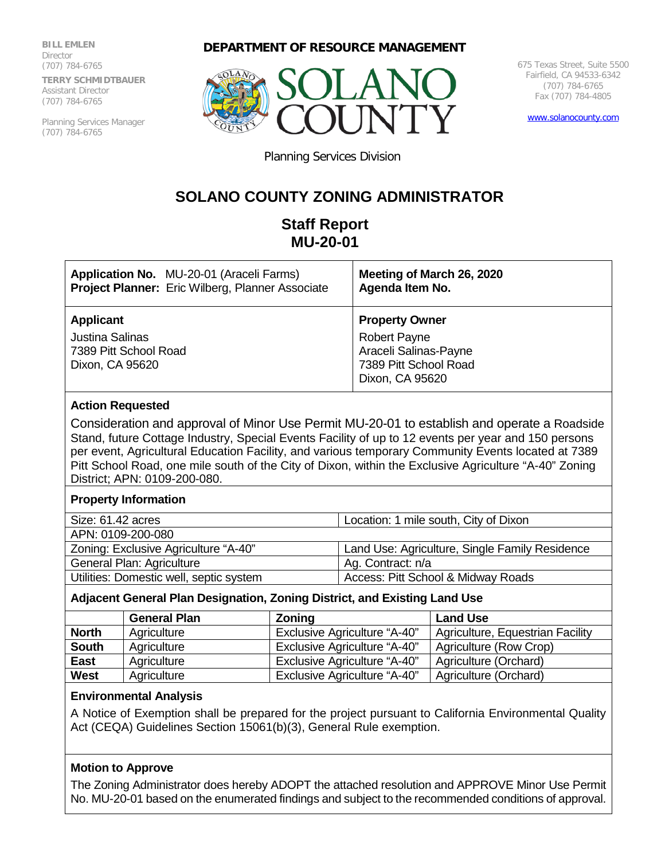**BILL EMLEN** Director (707) 784-6765 **TERRY SCHMIDTBAUER** Assistant Director (707) 784-6765

Planning Services Manager (707) 784-6765

#### **DEPARTMENT OF RESOURCE MANAGEMENT**



675 Texas Street, Suite 5500 Fairfield, CA 94533-6342 (707) 784-6765 Fax (707) 784-4805

[www.solanocounty.com](http://www.solanocounty.com/)

Planning Services Division

# **SOLANO COUNTY ZONING ADMINISTRATOR**

## **Staff Report MU-20-01**

| Application No. MU-20-01 (Araceli Farms)                                               | Meeting of March 26, 2020                                                                                         |
|----------------------------------------------------------------------------------------|-------------------------------------------------------------------------------------------------------------------|
| <b>Project Planner:</b> Eric Wilberg, Planner Associate                                | Agenda Item No.                                                                                                   |
| <b>Applicant</b><br><b>Justina Salinas</b><br>7389 Pitt School Road<br>Dixon, CA 95620 | <b>Property Owner</b><br><b>Robert Payne</b><br>Araceli Salinas-Payne<br>7389 Pitt School Road<br>Dixon, CA 95620 |

#### **Action Requested**

Consideration and approval of Minor Use Permit MU-20-01 to establish and operate a Roadside Stand, future Cottage Industry, Special Events Facility of up to 12 events per year and 150 persons per event, Agricultural Education Facility, and various temporary Community Events located at 7389 Pitt School Road, one mile south of the City of Dixon, within the Exclusive Agriculture "A-40" Zoning District; APN: 0109-200-080.

#### **Property Information**

| Size: 61.42 acres                       | Location: 1 mile south, City of Dixon          |  |
|-----------------------------------------|------------------------------------------------|--|
| APN: 0109-200-080                       |                                                |  |
| Zoning: Exclusive Agriculture "A-40"    | Land Use: Agriculture, Single Family Residence |  |
| General Plan: Agriculture               | Ag. Contract: n/a                              |  |
| Utilities: Domestic well, septic system | Access: Pitt School & Midway Roads             |  |
|                                         |                                                |  |

### **Adjacent General Plan Designation, Zoning District, and Existing Land Use**

|              | <b>General Plan</b> | <b>Zoning</b>                       | <b>Land Use</b>                  |
|--------------|---------------------|-------------------------------------|----------------------------------|
| <b>North</b> | Agriculture         | <b>Exclusive Agriculture "A-40"</b> | Agriculture, Equestrian Facility |
| <b>South</b> | Agriculture         | <b>Exclusive Agriculture "A-40"</b> | Agriculture (Row Crop)           |
| <b>East</b>  | Agriculture         | <b>Exclusive Agriculture "A-40"</b> | Agriculture (Orchard)            |
| West         | Agriculture         | <b>Exclusive Agriculture "A-40"</b> | Agriculture (Orchard)            |

#### **Environmental Analysis**

A Notice of Exemption shall be prepared for the project pursuant to California Environmental Quality Act (CEQA) Guidelines Section 15061(b)(3), General Rule exemption.

#### **Motion to Approve**

The Zoning Administrator does hereby ADOPT the attached resolution and APPROVE Minor Use Permit No. MU-20-01 based on the enumerated findings and subject to the recommended conditions of approval.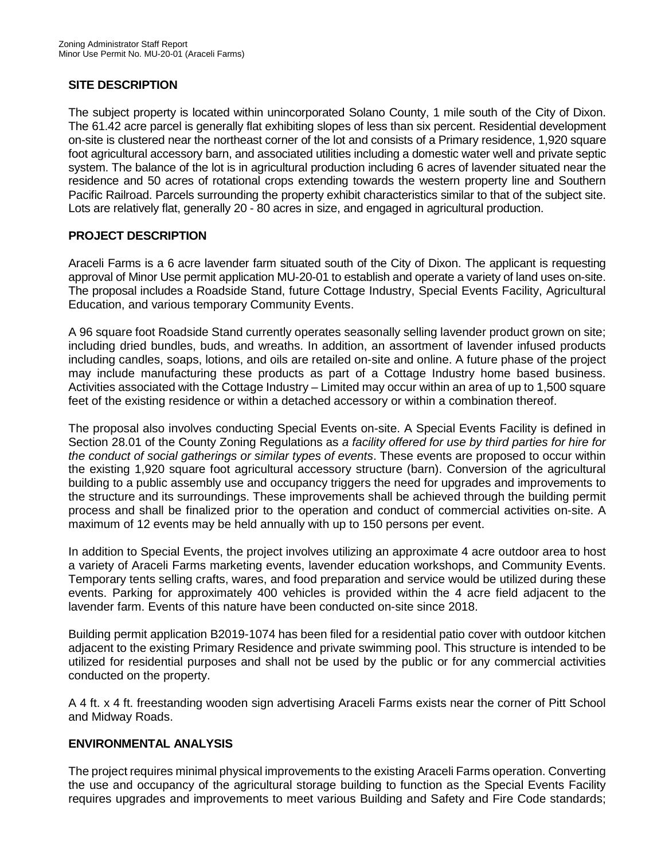#### **SITE DESCRIPTION**

The subject property is located within unincorporated Solano County, 1 mile south of the City of Dixon. The 61.42 acre parcel is generally flat exhibiting slopes of less than six percent. Residential development on-site is clustered near the northeast corner of the lot and consists of a Primary residence, 1,920 square foot agricultural accessory barn, and associated utilities including a domestic water well and private septic system. The balance of the lot is in agricultural production including 6 acres of lavender situated near the residence and 50 acres of rotational crops extending towards the western property line and Southern Pacific Railroad. Parcels surrounding the property exhibit characteristics similar to that of the subject site. Lots are relatively flat, generally 20 - 80 acres in size, and engaged in agricultural production.

### **PROJECT DESCRIPTION**

Araceli Farms is a 6 acre lavender farm situated south of the City of Dixon. The applicant is requesting approval of Minor Use permit application MU-20-01 to establish and operate a variety of land uses on-site. The proposal includes a Roadside Stand, future Cottage Industry, Special Events Facility, Agricultural Education, and various temporary Community Events.

A 96 square foot Roadside Stand currently operates seasonally selling lavender product grown on site; including dried bundles, buds, and wreaths. In addition, an assortment of lavender infused products including candles, soaps, lotions, and oils are retailed on-site and online. A future phase of the project may include manufacturing these products as part of a Cottage Industry home based business. Activities associated with the Cottage Industry – Limited may occur within an area of up to 1,500 square feet of the existing residence or within a detached accessory or within a combination thereof.

The proposal also involves conducting Special Events on-site. A Special Events Facility is defined in Section 28.01 of the County Zoning Regulations as *a facility offered for use by third parties for hire for the conduct of social gatherings or similar types of events*. These events are proposed to occur within the existing 1,920 square foot agricultural accessory structure (barn). Conversion of the agricultural building to a public assembly use and occupancy triggers the need for upgrades and improvements to the structure and its surroundings. These improvements shall be achieved through the building permit process and shall be finalized prior to the operation and conduct of commercial activities on-site. A maximum of 12 events may be held annually with up to 150 persons per event.

In addition to Special Events, the project involves utilizing an approximate 4 acre outdoor area to host a variety of Araceli Farms marketing events, lavender education workshops, and Community Events. Temporary tents selling crafts, wares, and food preparation and service would be utilized during these events. Parking for approximately 400 vehicles is provided within the 4 acre field adjacent to the lavender farm. Events of this nature have been conducted on-site since 2018.

Building permit application B2019-1074 has been filed for a residential patio cover with outdoor kitchen adjacent to the existing Primary Residence and private swimming pool. This structure is intended to be utilized for residential purposes and shall not be used by the public or for any commercial activities conducted on the property.

A 4 ft. x 4 ft. freestanding wooden sign advertising Araceli Farms exists near the corner of Pitt School and Midway Roads.

## **ENVIRONMENTAL ANALYSIS**

The project requires minimal physical improvements to the existing Araceli Farms operation. Converting the use and occupancy of the agricultural storage building to function as the Special Events Facility requires upgrades and improvements to meet various Building and Safety and Fire Code standards;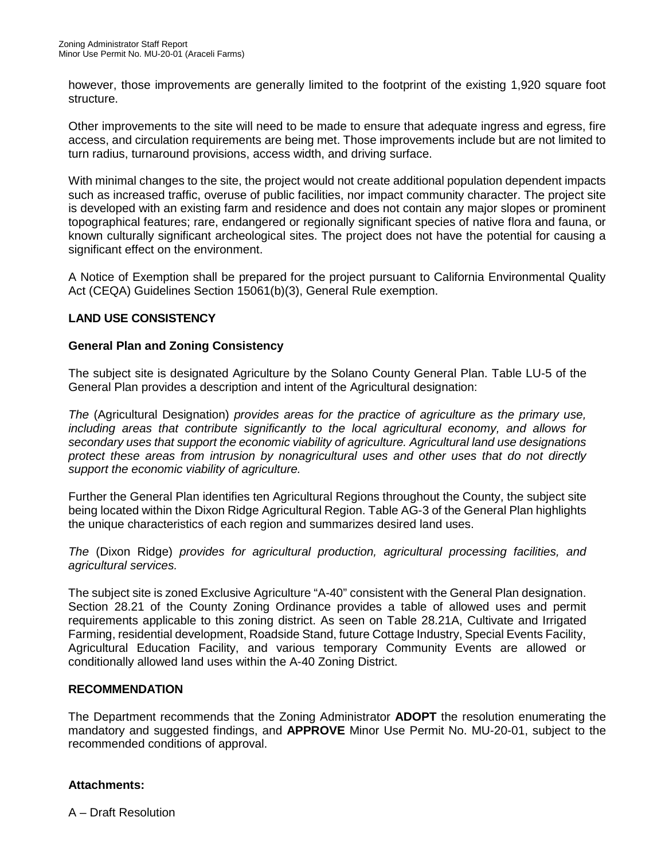however, those improvements are generally limited to the footprint of the existing 1,920 square foot structure.

Other improvements to the site will need to be made to ensure that adequate ingress and egress, fire access, and circulation requirements are being met. Those improvements include but are not limited to turn radius, turnaround provisions, access width, and driving surface.

With minimal changes to the site, the project would not create additional population dependent impacts such as increased traffic, overuse of public facilities, nor impact community character. The project site is developed with an existing farm and residence and does not contain any major slopes or prominent topographical features; rare, endangered or regionally significant species of native flora and fauna, or known culturally significant archeological sites. The project does not have the potential for causing a significant effect on the environment.

A Notice of Exemption shall be prepared for the project pursuant to California Environmental Quality Act (CEQA) Guidelines Section 15061(b)(3), General Rule exemption.

### **LAND USE CONSISTENCY**

### **General Plan and Zoning Consistency**

The subject site is designated Agriculture by the Solano County General Plan. Table LU-5 of the General Plan provides a description and intent of the Agricultural designation:

*The* (Agricultural Designation) *provides areas for the practice of agriculture as the primary use, including areas that contribute significantly to the local agricultural economy, and allows for secondary uses that support the economic viability of agriculture. Agricultural land use designations protect these areas from intrusion by nonagricultural uses and other uses that do not directly support the economic viability of agriculture.*

Further the General Plan identifies ten Agricultural Regions throughout the County, the subject site being located within the Dixon Ridge Agricultural Region. Table AG-3 of the General Plan highlights the unique characteristics of each region and summarizes desired land uses.

*The* (Dixon Ridge) *provides for agricultural production, agricultural processing facilities, and agricultural services.*

The subject site is zoned Exclusive Agriculture "A-40" consistent with the General Plan designation. Section 28.21 of the County Zoning Ordinance provides a table of allowed uses and permit requirements applicable to this zoning district. As seen on Table 28.21A, Cultivate and Irrigated Farming, residential development, Roadside Stand, future Cottage Industry, Special Events Facility, Agricultural Education Facility, and various temporary Community Events are allowed or conditionally allowed land uses within the A-40 Zoning District.

#### **RECOMMENDATION**

The Department recommends that the Zoning Administrator **ADOPT** the resolution enumerating the mandatory and suggested findings, and **APPROVE** Minor Use Permit No. MU-20-01, subject to the recommended conditions of approval.

#### **Attachments:**

A – Draft Resolution